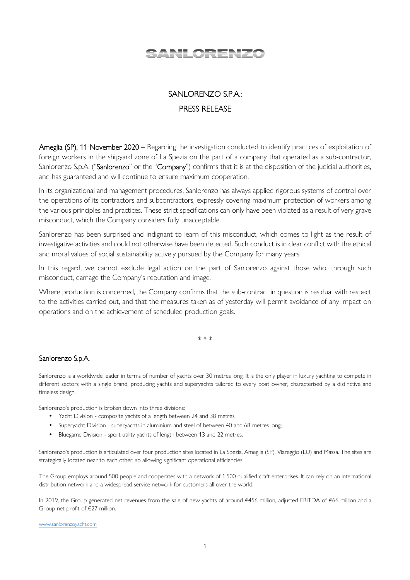# <u>SANLORENZO</u>

## SANLORENZO S.P.A.: PRESS RELEASE

Ameglia (SP), 11 November 2020 – Regarding the investigation conducted to identify practices of exploitation of foreign workers in the shipyard zone of La Spezia on the part of a company that operated as a sub-contractor, Sanlorenzo S.p.A. ("Sanlorenzo" or the "Company") confirms that it is at the disposition of the judicial authorities, and has guaranteed and will continue to ensure maximum cooperation.

In its organizational and management procedures, Sanlorenzo has always applied rigorous systems of control over the operations of its contractors and subcontractors, expressly covering maximum protection of workers among the various principles and practices. These strict specifications can only have been violated as a result of very grave misconduct, which the Company considers fully unacceptable.

Sanlorenzo has been surprised and indignant to learn of this misconduct, which comes to light as the result of investigative activities and could not otherwise have been detected. Such conduct is in clear conflict with the ethical and moral values of social sustainability actively pursued by the Company for many years.

In this regard, we cannot exclude legal action on the part of Sanlorenzo against those who, through such misconduct, damage the Company's reputation and image.

Where production is concerned, the Company confirms that the sub-contract in question is residual with respect to the activities carried out, and that the measures taken as of yesterday will permit avoidance of any impact on operations and on the achievement of scheduled production goals.

\* \* \*

### Sanlorenzo S.p.A.

Sanlorenzo is a worldwide leader in terms of number of yachts over 30 metres long. It is the only player in luxury yachting to compete in different sectors with a single brand, producing yachts and superyachts tailored to every boat owner, characterised by a distinctive and timeless design.

Sanlorenzo's production is broken down into three divisions:

- Yacht Division composite yachts of a length between 24 and 38 metres;
- Superyacht Division superyachts in aluminium and steel of between 40 and 68 metres long;
- Bluegame Division sport utility yachts of length between 13 and 22 metres.

Sanlorenzo's production is articulated over four production sites located in La Spezia, Ameglia (SP), Viareggio (LU) and Massa. The sites are strategically located near to each other, so allowing significant operational efficiencies.

The Group employs around 500 people and cooperates with a network of 1,500 qualified craft enterprises. It can rely on an international distribution network and a widespread service network for customers all over the world.

In 2019, the Group generated net revenues from the sale of new yachts of around €456 million, adjusted EBITDA of €66 million and a Group net profit of €27 million.

www.sanlorenzoyacht.com